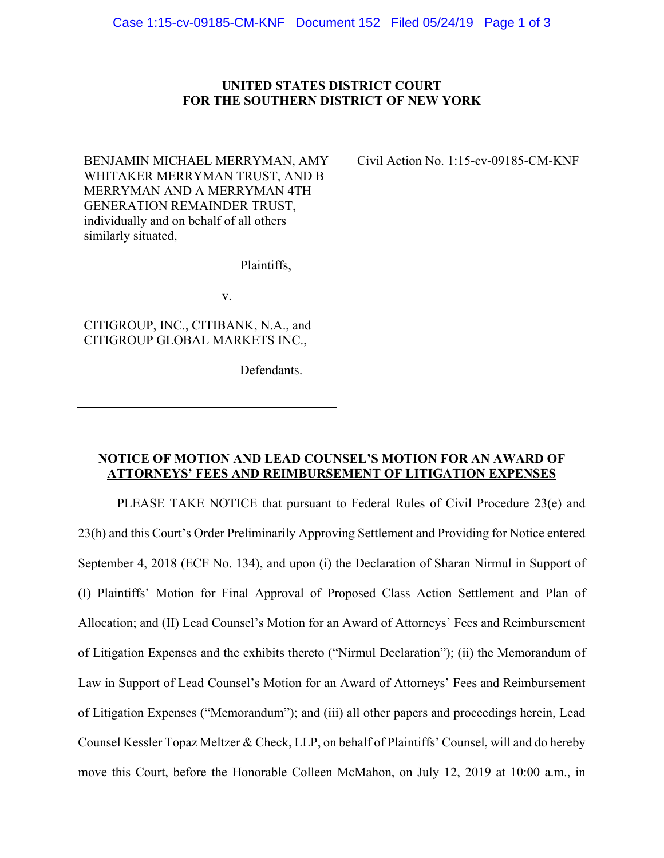## **UNITED STATES DISTRICT COURT FOR THE SOUTHERN DISTRICT OF NEW YORK**

BENJAMIN MICHAEL MERRYMAN, AMY WHITAKER MERRYMAN TRUST, AND B MERRYMAN AND A MERRYMAN 4TH GENERATION REMAINDER TRUST, individually and on behalf of all others similarly situated,

Plaintiffs,

v.

CITIGROUP, INC., CITIBANK, N.A., and CITIGROUP GLOBAL MARKETS INC.,

Defendants.

Civil Action No. 1:15-cv-09185-CM-KNF

## **NOTICE OF MOTION AND LEAD COUNSEL'S MOTION FOR AN AWARD OF ATTORNEYS' FEES AND REIMBURSEMENT OF LITIGATION EXPENSES**

PLEASE TAKE NOTICE that pursuant to Federal Rules of Civil Procedure 23(e) and 23(h) and this Court's Order Preliminarily Approving Settlement and Providing for Notice entered September 4, 2018 (ECF No. 134), and upon (i) the Declaration of Sharan Nirmul in Support of (I) Plaintiffs' Motion for Final Approval of Proposed Class Action Settlement and Plan of Allocation; and (II) Lead Counsel's Motion for an Award of Attorneys' Fees and Reimbursement of Litigation Expenses and the exhibits thereto ("Nirmul Declaration"); (ii) the Memorandum of Law in Support of Lead Counsel's Motion for an Award of Attorneys' Fees and Reimbursement of Litigation Expenses ("Memorandum"); and (iii) all other papers and proceedings herein, Lead Counsel Kessler Topaz Meltzer & Check, LLP, on behalf of Plaintiffs' Counsel, will and do hereby move this Court, before the Honorable Colleen McMahon, on July 12, 2019 at 10:00 a.m., in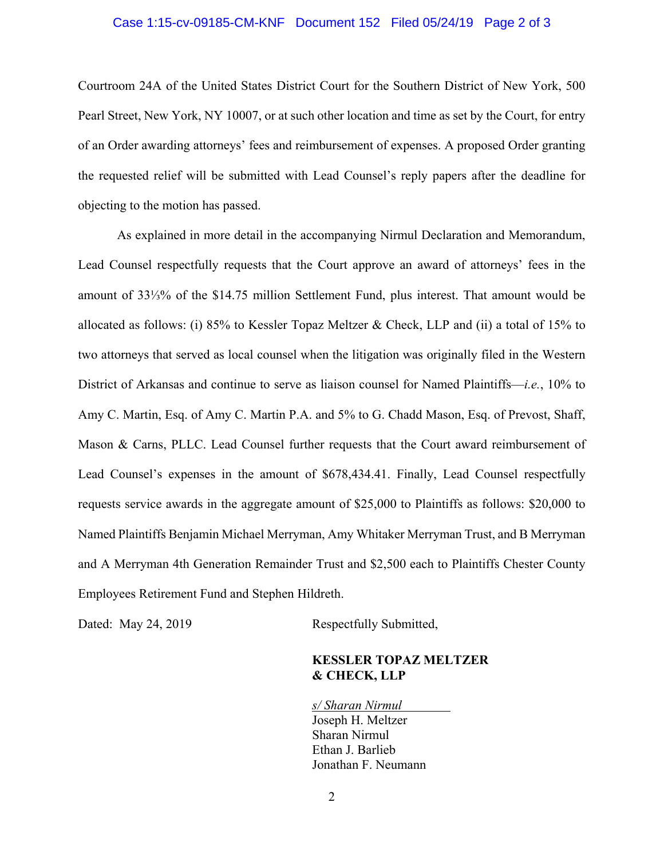## Case 1:15-cv-09185-CM-KNF Document 152 Filed 05/24/19 Page 2 of 3

Courtroom 24A of the United States District Court for the Southern District of New York, 500 Pearl Street, New York, NY 10007, or at such other location and time as set by the Court, for entry of an Order awarding attorneys' fees and reimbursement of expenses. A proposed Order granting the requested relief will be submitted with Lead Counsel's reply papers after the deadline for objecting to the motion has passed.

As explained in more detail in the accompanying Nirmul Declaration and Memorandum, Lead Counsel respectfully requests that the Court approve an award of attorneys' fees in the amount of 33⅓% of the \$14.75 million Settlement Fund, plus interest. That amount would be allocated as follows: (i) 85% to Kessler Topaz Meltzer & Check, LLP and (ii) a total of 15% to two attorneys that served as local counsel when the litigation was originally filed in the Western District of Arkansas and continue to serve as liaison counsel for Named Plaintiffs—*i.e.*, 10% to Amy C. Martin, Esq. of Amy C. Martin P.A. and 5% to G. Chadd Mason, Esq. of Prevost, Shaff, Mason & Carns, PLLC. Lead Counsel further requests that the Court award reimbursement of Lead Counsel's expenses in the amount of \$678,434.41. Finally, Lead Counsel respectfully requests service awards in the aggregate amount of \$25,000 to Plaintiffs as follows: \$20,000 to Named Plaintiffs Benjamin Michael Merryman, Amy Whitaker Merryman Trust, and B Merryman and A Merryman 4th Generation Remainder Trust and \$2,500 each to Plaintiffs Chester County Employees Retirement Fund and Stephen Hildreth.

Dated: May 24, 2019 Respectfully Submitted,

## **KESSLER TOPAZ MELTZER & CHECK, LLP**

*s/ Sharan Nirmul*  Joseph H. Meltzer Sharan Nirmul Ethan J. Barlieb Jonathan F. Neumann